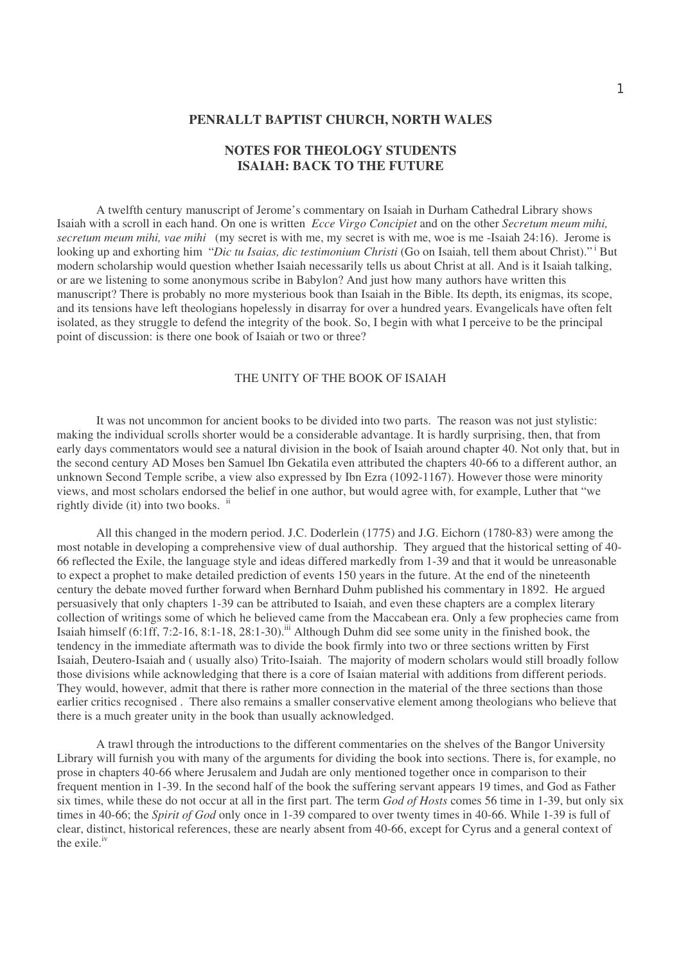## **PENRALLT BAPTIST CHURCH, NORTH WALES**

# **NOTES FOR THEOLOGY STUDENTS ISAIAH: BACK TO THE FUTURE**

A twelfth century manuscript of Jerome's commentary on Isaiah in Durham Cathedral Library shows Isaiah with a scroll in each hand. On one is written *Ecce Virgo Concipiet* and on the other *Secretum meum mihi, secretum meum mihi, vae mihi* (my secret is with me, my secret is with me, woe is me -Isaiah 24:16). Jerome is looking up and exhorting him "*Dic tu Isaias, dic testimonium Christi* (Go on Isaiah, tell them about Christ)." <sup>i</sup> But modern scholarship would question whether Isaiah necessarily tells us about Christ at all. And is it Isaiah talking, or are we listening to some anonymous scribe in Babylon? And just how many authors have written this manuscript? There is probably no more mysterious book than Isaiah in the Bible. Its depth, its enigmas, its scope, and its tensions have left theologians hopelessly in disarray for over a hundred years. Evangelicals have often felt isolated, as they struggle to defend the integrity of the book. So, I begin with what I perceive to be the principal point of discussion: is there one book of Isaiah or two or three?

### THE UNITY OF THE BOOK OF ISAIAH

It was not uncommon for ancient books to be divided into two parts. The reason was not just stylistic: making the individual scrolls shorter would be a considerable advantage. It is hardly surprising, then, that from early days commentators would see a natural division in the book of Isaiah around chapter 40. Not only that, but in the second century AD Moses ben Samuel Ibn Gekatila even attributed the chapters 40-66 to a different author, an unknown Second Temple scribe, a view also expressed by Ibn Ezra (1092-1167). However those were minority views, and most scholars endorsed the belief in one author, but would agree with, for example, Luther that "we rightly divide (it) into two books. ii

All this changed in the modern period. J.C. Doderlein (1775) and J.G. Eichorn (1780-83) were among the most notable in developing a comprehensive view of dual authorship. They argued that the historical setting of 40- 66 reflected the Exile, the language style and ideas differed markedly from 1-39 and that it would be unreasonable to expect a prophet to make detailed prediction of events 150 years in the future. At the end of the nineteenth century the debate moved further forward when Bernhard Duhm published his commentary in 1892. He argued persuasively that only chapters 1-39 can be attributed to Isaiah, and even these chapters are a complex literary collection of writings some of which he believed came from the Maccabean era. Only a few prophecies came from Isaiah himself (6:1ff, 7:2-16, 8:1-18, 28:1-30).<sup>iii</sup> Although Duhm did see some unity in the finished book, the tendency in the immediate aftermath was to divide the book firmly into two or three sections written by First Isaiah, Deutero-Isaiah and ( usually also) Trito-Isaiah. The majority of modern scholars would still broadly follow those divisions while acknowledging that there is a core of Isaian material with additions from different periods. They would, however, admit that there is rather more connection in the material of the three sections than those earlier critics recognised . There also remains a smaller conservative element among theologians who believe that there is a much greater unity in the book than usually acknowledged.

A trawl through the introductions to the different commentaries on the shelves of the Bangor University Library will furnish you with many of the arguments for dividing the book into sections. There is, for example, no prose in chapters 40-66 where Jerusalem and Judah are only mentioned together once in comparison to their frequent mention in 1-39. In the second half of the book the suffering servant appears 19 times, and God as Father six times, while these do not occur at all in the first part. The term *God of Hosts* comes 56 time in 1-39, but only six times in 40-66; the *Spirit of God* only once in 1-39 compared to over twenty times in 40-66. While 1-39 is full of clear, distinct, historical references, these are nearly absent from 40-66, except for Cyrus and a general context of the exile.<sup>iv</sup>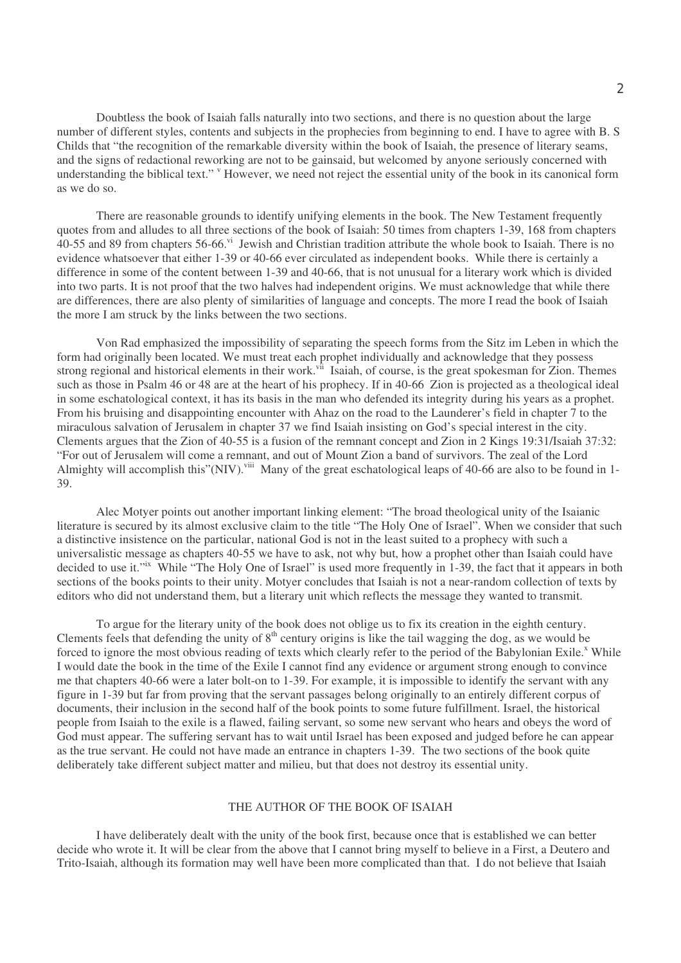Doubtless the book of Isaiah falls naturally into two sections, and there is no question about the large number of different styles, contents and subjects in the prophecies from beginning to end. I have to agree with B. S Childs that "the recognition of the remarkable diversity within the book of Isaiah, the presence of literary seams, and the signs of redactional reworking are not to be gainsaid, but welcomed by anyone seriously concerned with understanding the biblical text." <sup>v</sup> However, we need not reject the essential unity of the book in its canonical form as we do so.

There are reasonable grounds to identify unifying elements in the book. The New Testament frequently quotes from and alludes to all three sections of the book of Isaiah: 50 times from chapters 1-39, 168 from chapters 40-55 and 89 from chapters 56-66.<sup>vi</sup> Jewish and Christian tradition attribute the whole book to Isaiah. There is no evidence whatsoever that either 1-39 or 40-66 ever circulated as independent books. While there is certainly a difference in some of the content between 1-39 and 40-66, that is not unusual for a literary work which is divided into two parts. It is not proof that the two halves had independent origins. We must acknowledge that while there are differences, there are also plenty of similarities of language and concepts. The more I read the book of Isaiah the more I am struck by the links between the two sections.

Von Rad emphasized the impossibility of separating the speech forms from the Sitz im Leben in which the form had originally been located. We must treat each prophet individually and acknowledge that they possess strong regional and historical elements in their work.<sup>vii</sup> Isaiah, of course, is the great spokesman for Zion. Themes such as those in Psalm 46 or 48 are at the heart of his prophecy. If in 40-66 Zion is projected as a theological ideal in some eschatological context, it has its basis in the man who defended its integrity during his years as a prophet. From his bruising and disappointing encounter with Ahaz on the road to the Launderer's field in chapter 7 to the miraculous salvation of Jerusalem in chapter 37 we find Isaiah insisting on God's special interest in the city. Clements argues that the Zion of 40-55 is a fusion of the remnant concept and Zion in 2 Kings 19:31/Isaiah 37:32: "For out of Jerusalem will come a remnant, and out of Mount Zion a band of survivors. The zeal of the Lord Almighty will accomplish this"(NIV).<sup>viii</sup> Many of the great eschatological leaps of 40-66 are also to be found in 1-39.

Alec Motyer points out another important linking element: "The broad theological unity of the Isaianic literature is secured by its almost exclusive claim to the title "The Holy One of Israel". When we consider that such a distinctive insistence on the particular, national God is not in the least suited to a prophecy with such a universalistic message as chapters 40-55 we have to ask, not why but, how a prophet other than Isaiah could have decided to use it."<sup>Ix</sup> While "The Holy One of Israel" is used more frequently in 1-39, the fact that it appears in both sections of the books points to their unity. Motyer concludes that Isaiah is not a near-random collection of texts by editors who did not understand them, but a literary unit which reflects the message they wanted to transmit.

To argue for the literary unity of the book does not oblige us to fix its creation in the eighth century. Clements feels that defending the unity of  $8<sup>th</sup>$  century origins is like the tail wagging the dog, as we would be forced to ignore the most obvious reading of texts which clearly refer to the period of the Babylonian Exile.<sup>x</sup> While I would date the book in the time of the Exile I cannot find any evidence or argument strong enough to convince me that chapters 40-66 were a later bolt-on to 1-39. For example, it is impossible to identify the servant with any figure in 1-39 but far from proving that the servant passages belong originally to an entirely different corpus of documents, their inclusion in the second half of the book points to some future fulfillment. Israel, the historical people from Isaiah to the exile is a flawed, failing servant, so some new servant who hears and obeys the word of God must appear. The suffering servant has to wait until Israel has been exposed and judged before he can appear as the true servant. He could not have made an entrance in chapters 1-39. The two sections of the book quite deliberately take different subject matter and milieu, but that does not destroy its essential unity.

# THE AUTHOR OF THE BOOK OF ISAIAH

I have deliberately dealt with the unity of the book first, because once that is established we can better decide who wrote it. It will be clear from the above that I cannot bring myself to believe in a First, a Deutero and Trito-Isaiah, although its formation may well have been more complicated than that. I do not believe that Isaiah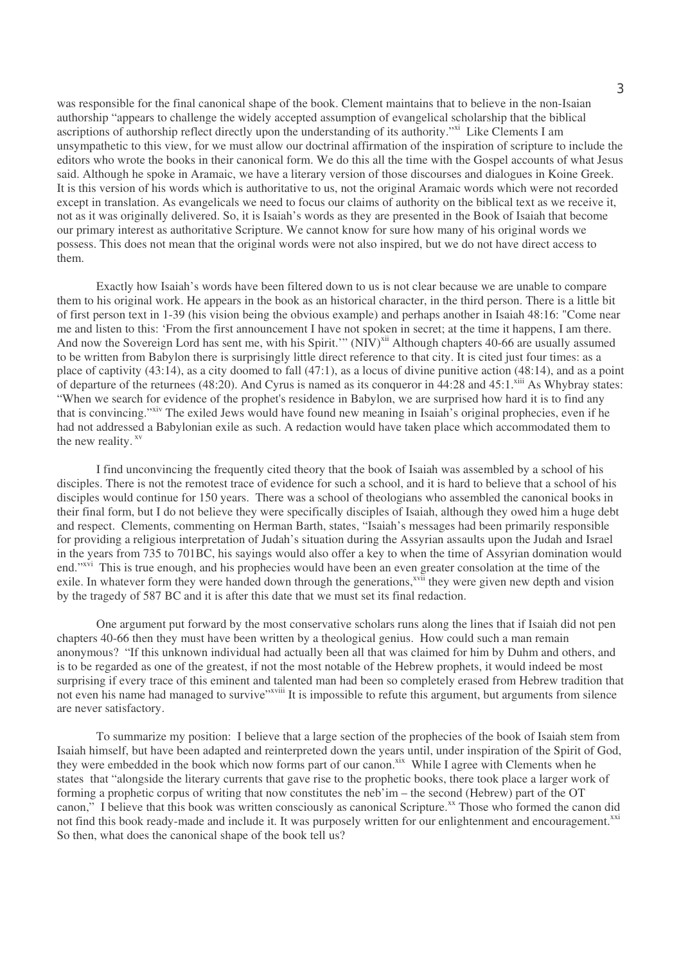was responsible for the final canonical shape of the book. Clement maintains that to believe in the non-Isaian authorship "appears to challenge the widely accepted assumption of evangelical scholarship that the biblical ascriptions of authorship reflect directly upon the understanding of its authority." Like Clements I am unsympathetic to this view, for we must allow our doctrinal affirmation of the inspiration of scripture to include the editors who wrote the books in their canonical form. We do this all the time with the Gospel accounts of what Jesus said. Although he spoke in Aramaic, we have a literary version of those discourses and dialogues in Koine Greek. It is this version of his words which is authoritative to us, not the original Aramaic words which were not recorded except in translation. As evangelicals we need to focus our claims of authority on the biblical text as we receive it, not as it was originally delivered. So, it is Isaiah's words as they are presented in the Book of Isaiah that become our primary interest as authoritative Scripture. We cannot know for sure how many of his original words we possess. This does not mean that the original words were not also inspired, but we do not have direct access to them.

Exactly how Isaiah's words have been filtered down to us is not clear because we are unable to compare them to his original work. He appears in the book as an historical character, in the third person. There is a little bit of first person text in 1-39 (his vision being the obvious example) and perhaps another in Isaiah 48:16: "Come near me and listen to this: 'From the first announcement I have not spoken in secret; at the time it happens, I am there. And now the Sovereign Lord has sent me, with his Spirit." (NIV)<sup>xii</sup> Although chapters 40-66 are usually assumed to be written from Babylon there is surprisingly little direct reference to that city. It is cited just four times: as a place of captivity (43:14), as a city doomed to fall (47:1), as a locus of divine punitive action (48:14), and as a point of departure of the returnees (48:20). And Cyrus is named as its conqueror in 44:28 and 45:1.<sup>xiii</sup> As Whybray states: "When we search for evidence of the prophet's residence in Babylon, we are surprised how hard it is to find any that is convincing."<sup>xiv</sup> The exiled Jews would have found new meaning in Isaiah's original prophecies, even if he had not addressed a Babylonian exile as such. A redaction would have taken place which accommodated them to the new reality. xv

I find unconvincing the frequently cited theory that the book of Isaiah was assembled by a school of his disciples. There is not the remotest trace of evidence for such a school, and it is hard to believe that a school of his disciples would continue for 150 years. There was a school of theologians who assembled the canonical books in their final form, but I do not believe they were specifically disciples of Isaiah, although they owed him a huge debt and respect. Clements, commenting on Herman Barth, states, "Isaiah's messages had been primarily responsible for providing a religious interpretation of Judah's situation during the Assyrian assaults upon the Judah and Israel in the years from 735 to 701BC, his sayings would also offer a key to when the time of Assyrian domination would end."<sup>xvi</sup> This is true enough, and his prophecies would have been an even greater consolation at the time of the exile. In whatever form they were handed down through the generations,<sup>xvii</sup> they were given new depth and vision by the tragedy of 587 BC and it is after this date that we must set its final redaction.

One argument put forward by the most conservative scholars runs along the lines that if Isaiah did not pen chapters 40-66 then they must have been written by a theological genius. How could such a man remain anonymous? "If this unknown individual had actually been all that was claimed for him by Duhm and others, and is to be regarded as one of the greatest, if not the most notable of the Hebrew prophets, it would indeed be most surprising if every trace of this eminent and talented man had been so completely erased from Hebrew tradition that not even his name had managed to survive"<sup>xviii</sup> It is impossible to refute this argument, but arguments from silence are never satisfactory.

To summarize my position: I believe that a large section of the prophecies of the book of Isaiah stem from Isaiah himself, but have been adapted and reinterpreted down the years until, under inspiration of the Spirit of God, they were embedded in the book which now forms part of our canon.<sup>xix</sup> While I agree with Clements when he states that "alongside the literary currents that gave rise to the prophetic books, there took place a larger work of forming a prophetic corpus of writing that now constitutes the neb'im – the second (Hebrew) part of the OT canon," I believe that this book was written consciously as canonical Scripture.<sup>xx</sup> Those who formed the canon did not find this book ready-made and include it. It was purposely written for our enlightenment and encouragement.<sup>xxi</sup> So then, what does the canonical shape of the book tell us?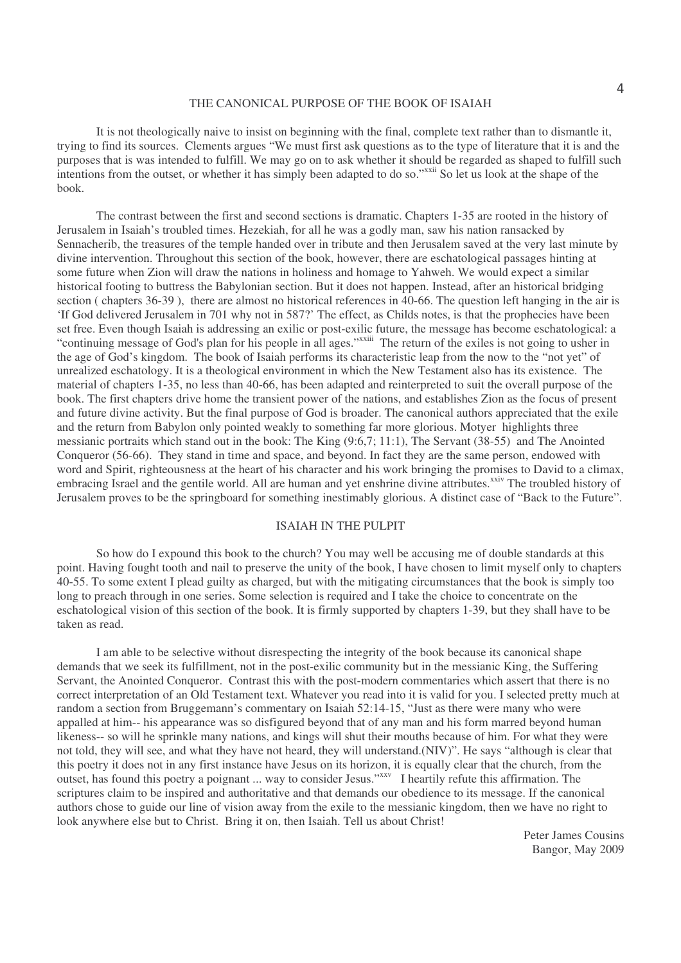#### THE CANONICAL PURPOSE OF THE BOOK OF ISAIAH

It is not theologically naive to insist on beginning with the final, complete text rather than to dismantle it, trying to find its sources. Clements argues "We must first ask questions as to the type of literature that it is and the purposes that is was intended to fulfill. We may go on to ask whether it should be regarded as shaped to fulfill such intentions from the outset, or whether it has simply been adapted to do so."<sup>xxii</sup> So let us look at the shape of the book.

The contrast between the first and second sections is dramatic. Chapters 1-35 are rooted in the history of Jerusalem in Isaiah's troubled times. Hezekiah, for all he was a godly man, saw his nation ransacked by Sennacherib, the treasures of the temple handed over in tribute and then Jerusalem saved at the very last minute by divine intervention. Throughout this section of the book, however, there are eschatological passages hinting at some future when Zion will draw the nations in holiness and homage to Yahweh. We would expect a similar historical footing to buttress the Babylonian section. But it does not happen. Instead, after an historical bridging section ( chapters 36-39 ), there are almost no historical references in 40-66. The question left hanging in the air is 'If God delivered Jerusalem in 701 why not in 587?' The effect, as Childs notes, is that the prophecies have been set free. Even though Isaiah is addressing an exilic or post-exilic future, the message has become eschatological: a "continuing message of God's plan for his people in all ages."<sup>xxiii</sup> The return of the exiles is not going to usher in the age of God's kingdom. The book of Isaiah performs its characteristic leap from the now to the "not yet" of unrealized eschatology. It is a theological environment in which the New Testament also has its existence. The material of chapters 1-35, no less than 40-66, has been adapted and reinterpreted to suit the overall purpose of the book. The first chapters drive home the transient power of the nations, and establishes Zion as the focus of present and future divine activity. But the final purpose of God is broader. The canonical authors appreciated that the exile and the return from Babylon only pointed weakly to something far more glorious. Motyer highlights three messianic portraits which stand out in the book: The King (9:6,7; 11:1), The Servant (38-55) and The Anointed Conqueror (56-66). They stand in time and space, and beyond. In fact they are the same person, endowed with word and Spirit, righteousness at the heart of his character and his work bringing the promises to David to a climax, embracing Israel and the gentile world. All are human and yet enshrine divine attributes.<sup>xxiv</sup> The troubled history of Jerusalem proves to be the springboard for something inestimably glorious. A distinct case of "Back to the Future".

#### ISAIAH IN THE PULPIT

So how do I expound this book to the church? You may well be accusing me of double standards at this point. Having fought tooth and nail to preserve the unity of the book, I have chosen to limit myself only to chapters 40-55. To some extent I plead guilty as charged, but with the mitigating circumstances that the book is simply too long to preach through in one series. Some selection is required and I take the choice to concentrate on the eschatological vision of this section of the book. It is firmly supported by chapters 1-39, but they shall have to be taken as read.

I am able to be selective without disrespecting the integrity of the book because its canonical shape demands that we seek its fulfillment, not in the post-exilic community but in the messianic King, the Suffering Servant, the Anointed Conqueror. Contrast this with the post-modern commentaries which assert that there is no correct interpretation of an Old Testament text. Whatever you read into it is valid for you. I selected pretty much at random a section from Bruggemann's commentary on Isaiah 52:14-15, "Just as there were many who were appalled at him-- his appearance was so disfigured beyond that of any man and his form marred beyond human likeness-- so will he sprinkle many nations, and kings will shut their mouths because of him. For what they were not told, they will see, and what they have not heard, they will understand.(NIV)". He says "although is clear that this poetry it does not in any first instance have Jesus on its horizon, it is equally clear that the church, from the outset, has found this poetry a poignant ... way to consider Jesus." I heartily refute this affirmation. The scriptures claim to be inspired and authoritative and that demands our obedience to its message. If the canonical authors chose to guide our line of vision away from the exile to the messianic kingdom, then we have no right to look anywhere else but to Christ. Bring it on, then Isaiah. Tell us about Christ!

> Peter James Cousins Bangor, May 2009